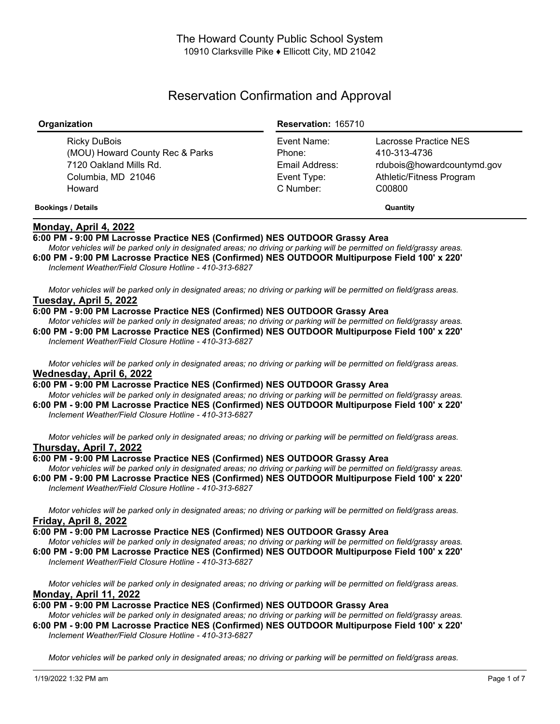# Reservation Confirmation and Approval

| Organization                                                                                              | <b>Reservation: 165710</b>                                          |                                                                                                           |
|-----------------------------------------------------------------------------------------------------------|---------------------------------------------------------------------|-----------------------------------------------------------------------------------------------------------|
| Ricky DuBois<br>(MOU) Howard County Rec & Parks<br>7120 Oakland Mills Rd.<br>Columbia, MD 21046<br>Howard | Event Name:<br>Phone:<br>Email Address:<br>Event Type:<br>C Number: | Lacrosse Practice NES<br>410-313-4736<br>rdubois@howardcountymd.gov<br>Athletic/Fitness Program<br>C00800 |
| <b>Bookings / Details</b>                                                                                 |                                                                     | Quantity                                                                                                  |

# **Monday, April 4, 2022**

## **6:00 PM - 9:00 PM Lacrosse Practice NES (Confirmed) NES OUTDOOR Grassy Area**

Motor vehicles will be parked only in designated areas; no driving or parking will be permitted on field/grassy areas. **6:00 PM - 9:00 PM Lacrosse Practice NES (Confirmed) NES OUTDOOR Multipurpose Field 100' x 220'** *Inclement Weather/Field Closure Hotline - 410-313-6827*

Motor vehicles will be parked only in designated areas; no driving or parking will be permitted on field/grass areas. **Tuesday, April 5, 2022**

## **6:00 PM - 9:00 PM Lacrosse Practice NES (Confirmed) NES OUTDOOR Grassy Area**

Motor vehicles will be parked only in designated areas; no driving or parking will be permitted on field/grassy areas. **6:00 PM - 9:00 PM Lacrosse Practice NES (Confirmed) NES OUTDOOR Multipurpose Field 100' x 220'** *Inclement Weather/Field Closure Hotline - 410-313-6827*

Motor vehicles will be parked only in designated areas; no driving or parking will be permitted on field/grass areas. **Wednesday, April 6, 2022**

**6:00 PM - 9:00 PM Lacrosse Practice NES (Confirmed) NES OUTDOOR Grassy Area**

Motor vehicles will be parked only in designated areas; no driving or parking will be permitted on field/grassy areas. **6:00 PM - 9:00 PM Lacrosse Practice NES (Confirmed) NES OUTDOOR Multipurpose Field 100' x 220'** *Inclement Weather/Field Closure Hotline - 410-313-6827*

Motor vehicles will be parked only in designated areas; no driving or parking will be permitted on field/grass areas. **Thursday, April 7, 2022**

#### **6:00 PM - 9:00 PM Lacrosse Practice NES (Confirmed) NES OUTDOOR Grassy Area**

Motor vehicles will be parked only in designated areas; no driving or parking will be permitted on field/grassy areas. **6:00 PM - 9:00 PM Lacrosse Practice NES (Confirmed) NES OUTDOOR Multipurpose Field 100' x 220'** *Inclement Weather/Field Closure Hotline - 410-313-6827*

Motor vehicles will be parked only in designated areas; no driving or parking will be permitted on field/grass areas. **Friday, April 8, 2022**

**6:00 PM - 9:00 PM Lacrosse Practice NES (Confirmed) NES OUTDOOR Grassy Area**

Motor vehicles will be parked only in designated areas; no driving or parking will be permitted on field/grassy areas. **6:00 PM - 9:00 PM Lacrosse Practice NES (Confirmed) NES OUTDOOR Multipurpose Field 100' x 220'**

*Inclement Weather/Field Closure Hotline - 410-313-6827*

Motor vehicles will be parked only in designated areas; no driving or parking will be permitted on field/grass areas. **Monday, April 11, 2022**

## **6:00 PM - 9:00 PM Lacrosse Practice NES (Confirmed) NES OUTDOOR Grassy Area**

Motor vehicles will be parked only in designated areas: no driving or parking will be permitted on field/grassy areas. **6:00 PM - 9:00 PM Lacrosse Practice NES (Confirmed) NES OUTDOOR Multipurpose Field 100' x 220'** *Inclement Weather/Field Closure Hotline - 410-313-6827*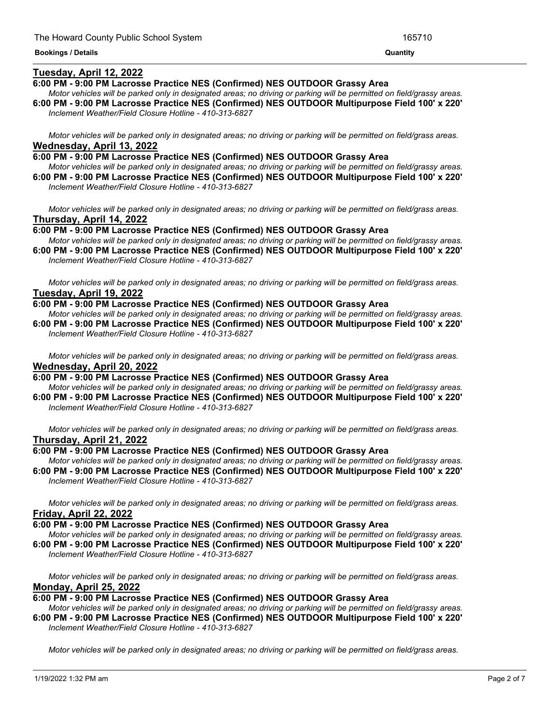## **Tuesday, April 12, 2022**

## **6:00 PM - 9:00 PM Lacrosse Practice NES (Confirmed) NES OUTDOOR Grassy Area**

Motor vehicles will be parked only in designated areas; no driving or parking will be permitted on field/grassy areas. **6:00 PM - 9:00 PM Lacrosse Practice NES (Confirmed) NES OUTDOOR Multipurpose Field 100' x 220'** *Inclement Weather/Field Closure Hotline - 410-313-6827*

<u> 1989 - Andrea Andrea Andrea Andrea Andrea Andrea Andrea Andrea Andrea Andrea Andrea Andrea Andrea Andrea Andr</u>

Motor vehicles will be parked only in designated areas; no driving or parking will be permitted on field/grass areas. **Wednesday, April 13, 2022**

**6:00 PM - 9:00 PM Lacrosse Practice NES (Confirmed) NES OUTDOOR Grassy Area** Motor vehicles will be parked only in designated areas; no driving or parking will be permitted on field/grassy areas.

**6:00 PM - 9:00 PM Lacrosse Practice NES (Confirmed) NES OUTDOOR Multipurpose Field 100' x 220'** *Inclement Weather/Field Closure Hotline - 410-313-6827*

Motor vehicles will be parked only in designated areas; no driving or parking will be permitted on field/grass areas. **Thursday, April 14, 2022**

**6:00 PM - 9:00 PM Lacrosse Practice NES (Confirmed) NES OUTDOOR Grassy Area**

Motor vehicles will be parked only in designated areas; no driving or parking will be permitted on field/grassy areas. **6:00 PM - 9:00 PM Lacrosse Practice NES (Confirmed) NES OUTDOOR Multipurpose Field 100' x 220'** *Inclement Weather/Field Closure Hotline - 410-313-6827*

Motor vehicles will be parked only in designated areas; no driving or parking will be permitted on field/grass areas. **Tuesday, April 19, 2022**

**6:00 PM - 9:00 PM Lacrosse Practice NES (Confirmed) NES OUTDOOR Grassy Area**

Motor vehicles will be parked only in designated areas; no driving or parking will be permitted on field/grassy areas. **6:00 PM - 9:00 PM Lacrosse Practice NES (Confirmed) NES OUTDOOR Multipurpose Field 100' x 220'** *Inclement Weather/Field Closure Hotline - 410-313-6827*

Motor vehicles will be parked only in designated areas; no driving or parking will be permitted on field/grass areas. **Wednesday, April 20, 2022**

**6:00 PM - 9:00 PM Lacrosse Practice NES (Confirmed) NES OUTDOOR Grassy Area**

Motor vehicles will be parked only in designated areas; no driving or parking will be permitted on field/grassy areas. **6:00 PM - 9:00 PM Lacrosse Practice NES (Confirmed) NES OUTDOOR Multipurpose Field 100' x 220'** *Inclement Weather/Field Closure Hotline - 410-313-6827*

Motor vehicles will be parked only in designated areas; no driving or parking will be permitted on field/grass areas. **Thursday, April 21, 2022**

## **6:00 PM - 9:00 PM Lacrosse Practice NES (Confirmed) NES OUTDOOR Grassy Area**

Motor vehicles will be parked only in designated areas; no driving or parking will be permitted on field/grassy areas. **6:00 PM - 9:00 PM Lacrosse Practice NES (Confirmed) NES OUTDOOR Multipurpose Field 100' x 220'** *Inclement Weather/Field Closure Hotline - 410-313-6827*

Motor vehicles will be parked only in designated areas; no driving or parking will be permitted on field/grass areas. **Friday, April 22, 2022**

#### **6:00 PM - 9:00 PM Lacrosse Practice NES (Confirmed) NES OUTDOOR Grassy Area**

Motor vehicles will be parked only in designated areas; no driving or parking will be permitted on field/grassy areas. **6:00 PM - 9:00 PM Lacrosse Practice NES (Confirmed) NES OUTDOOR Multipurpose Field 100' x 220'** *Inclement Weather/Field Closure Hotline - 410-313-6827*

Motor vehicles will be parked only in designated areas; no driving or parking will be permitted on field/grass areas. **Monday, April 25, 2022**

**6:00 PM - 9:00 PM Lacrosse Practice NES (Confirmed) NES OUTDOOR Grassy Area**

Motor vehicles will be parked only in designated areas; no driving or parking will be permitted on field/grassy areas. **6:00 PM - 9:00 PM Lacrosse Practice NES (Confirmed) NES OUTDOOR Multipurpose Field 100' x 220'** *Inclement Weather/Field Closure Hotline - 410-313-6827*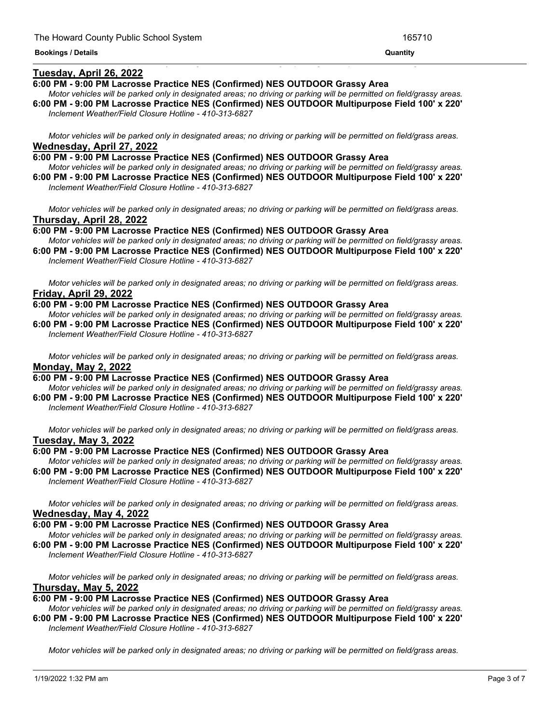## **Tuesday, April 26, 2022**

#### **6:00 PM - 9:00 PM Lacrosse Practice NES (Confirmed) NES OUTDOOR Grassy Area**

Motor vehicles will be parked only in designated areas; no driving or parking will be permitted on field/grassy areas. **6:00 PM - 9:00 PM Lacrosse Practice NES (Confirmed) NES OUTDOOR Multipurpose Field 100' x 220'**

<u> 1989 - Andrea San Andrea San Andrea San Andrea San Andrea San Andrea San Andrea San Andrea San Andrea San An</u>

*Inclement Weather/Field Closure Hotline - 410-313-6827*

Motor vehicles will be parked only in designated areas; no driving or parking will be permitted on field/grass areas. **Wednesday, April 27, 2022**

**6:00 PM - 9:00 PM Lacrosse Practice NES (Confirmed) NES OUTDOOR Grassy Area** Motor vehicles will be parked only in designated areas; no driving or parking will be permitted on field/grassy areas.

**6:00 PM - 9:00 PM Lacrosse Practice NES (Confirmed) NES OUTDOOR Multipurpose Field 100' x 220'** *Inclement Weather/Field Closure Hotline - 410-313-6827*

Motor vehicles will be parked only in designated areas; no driving or parking will be permitted on field/grass areas. **Thursday, April 28, 2022**

**6:00 PM - 9:00 PM Lacrosse Practice NES (Confirmed) NES OUTDOOR Grassy Area**

Motor vehicles will be parked only in designated areas; no driving or parking will be permitted on field/grassy areas. **6:00 PM - 9:00 PM Lacrosse Practice NES (Confirmed) NES OUTDOOR Multipurpose Field 100' x 220'**

*Inclement Weather/Field Closure Hotline - 410-313-6827*

Motor vehicles will be parked only in designated areas; no driving or parking will be permitted on field/grass areas. **Friday, April 29, 2022**

#### **6:00 PM - 9:00 PM Lacrosse Practice NES (Confirmed) NES OUTDOOR Grassy Area**

Motor vehicles will be parked only in designated areas; no driving or parking will be permitted on field/grassy areas. **6:00 PM - 9:00 PM Lacrosse Practice NES (Confirmed) NES OUTDOOR Multipurpose Field 100' x 220'** *Inclement Weather/Field Closure Hotline - 410-313-6827*

Motor vehicles will be parked only in designated areas; no driving or parking will be permitted on field/grass areas. **Monday, May 2, 2022**

## **6:00 PM - 9:00 PM Lacrosse Practice NES (Confirmed) NES OUTDOOR Grassy Area**

Motor vehicles will be parked only in designated areas; no driving or parking will be permitted on field/grassy areas. **6:00 PM - 9:00 PM Lacrosse Practice NES (Confirmed) NES OUTDOOR Multipurpose Field 100' x 220'** *Inclement Weather/Field Closure Hotline - 410-313-6827*

Motor vehicles will be parked only in designated areas; no driving or parking will be permitted on field/grass areas. **Tuesday, May 3, 2022**

#### **6:00 PM - 9:00 PM Lacrosse Practice NES (Confirmed) NES OUTDOOR Grassy Area**

Motor vehicles will be parked only in designated areas; no driving or parking will be permitted on field/grassy areas. **6:00 PM - 9:00 PM Lacrosse Practice NES (Confirmed) NES OUTDOOR Multipurpose Field 100' x 220'** *Inclement Weather/Field Closure Hotline - 410-313-6827*

Motor vehicles will be parked only in designated areas; no driving or parking will be permitted on field/grass areas. **Wednesday, May 4, 2022**

#### **6:00 PM - 9:00 PM Lacrosse Practice NES (Confirmed) NES OUTDOOR Grassy Area**

Motor vehicles will be parked only in designated areas; no driving or parking will be permitted on field/grassy areas. **6:00 PM - 9:00 PM Lacrosse Practice NES (Confirmed) NES OUTDOOR Multipurpose Field 100' x 220'** *Inclement Weather/Field Closure Hotline - 410-313-6827*

Motor vehicles will be parked only in designated areas; no driving or parking will be permitted on field/grass areas. **Thursday, May 5, 2022**

#### **6:00 PM - 9:00 PM Lacrosse Practice NES (Confirmed) NES OUTDOOR Grassy Area**

Motor vehicles will be parked only in designated areas; no driving or parking will be permitted on field/grassy areas. **6:00 PM - 9:00 PM Lacrosse Practice NES (Confirmed) NES OUTDOOR Multipurpose Field 100' x 220'** *Inclement Weather/Field Closure Hotline - 410-313-6827*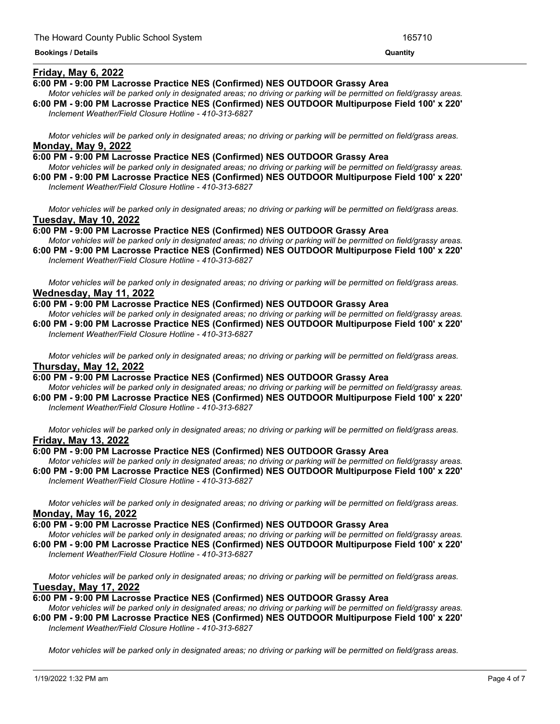## **Friday, May 6, 2022**

## **6:00 PM - 9:00 PM Lacrosse Practice NES (Confirmed) NES OUTDOOR Grassy Area**

Motor vehicles will be parked only in designated areas; no driving or parking will be permitted on field/grassy areas. **6:00 PM - 9:00 PM Lacrosse Practice NES (Confirmed) NES OUTDOOR Multipurpose Field 100' x 220'**

<u> 1989 - Andrea Andrea Andrea Andrea Andrea Andrea Andrea Andrea Andrea Andrea Andrea Andrea Andrea Andrea Andr</u>

*Inclement Weather/Field Closure Hotline - 410-313-6827*

Motor vehicles will be parked only in designated areas; no driving or parking will be permitted on field/grass areas. **Monday, May 9, 2022**

- **6:00 PM - 9:00 PM Lacrosse Practice NES (Confirmed) NES OUTDOOR Grassy Area** Motor vehicles will be parked only in designated areas; no driving or parking will be permitted on field/grassy areas.
- **6:00 PM - 9:00 PM Lacrosse Practice NES (Confirmed) NES OUTDOOR Multipurpose Field 100' x 220'** *Inclement Weather/Field Closure Hotline - 410-313-6827*

Motor vehicles will be parked only in designated areas; no driving or parking will be permitted on field/grass areas. **Tuesday, May 10, 2022**

**6:00 PM - 9:00 PM Lacrosse Practice NES (Confirmed) NES OUTDOOR Grassy Area**

Motor vehicles will be parked only in designated areas; no driving or parking will be permitted on field/grassy areas. **6:00 PM - 9:00 PM Lacrosse Practice NES (Confirmed) NES OUTDOOR Multipurpose Field 100' x 220'**

*Inclement Weather/Field Closure Hotline - 410-313-6827*

Motor vehicles will be parked only in designated areas; no driving or parking will be permitted on field/grass areas. **Wednesday, May 11, 2022**

**6:00 PM - 9:00 PM Lacrosse Practice NES (Confirmed) NES OUTDOOR Grassy Area**

Motor vehicles will be parked only in designated areas; no driving or parking will be permitted on field/grassy areas. **6:00 PM - 9:00 PM Lacrosse Practice NES (Confirmed) NES OUTDOOR Multipurpose Field 100' x 220'** *Inclement Weather/Field Closure Hotline - 410-313-6827*

Motor vehicles will be parked only in designated areas; no driving or parking will be permitted on field/grass areas. **Thursday, May 12, 2022**

## **6:00 PM - 9:00 PM Lacrosse Practice NES (Confirmed) NES OUTDOOR Grassy Area**

Motor vehicles will be parked only in designated areas; no driving or parking will be permitted on field/grassy areas. **6:00 PM - 9:00 PM Lacrosse Practice NES (Confirmed) NES OUTDOOR Multipurpose Field 100' x 220'** *Inclement Weather/Field Closure Hotline - 410-313-6827*

Motor vehicles will be parked only in designated areas; no driving or parking will be permitted on field/grass areas. **Friday, May 13, 2022**

## **6:00 PM - 9:00 PM Lacrosse Practice NES (Confirmed) NES OUTDOOR Grassy Area**

Motor vehicles will be parked only in designated areas; no driving or parking will be permitted on field/grassy areas. **6:00 PM - 9:00 PM Lacrosse Practice NES (Confirmed) NES OUTDOOR Multipurpose Field 100' x 220'** *Inclement Weather/Field Closure Hotline - 410-313-6827*

Motor vehicles will be parked only in designated areas; no driving or parking will be permitted on field/grass areas. **Monday, May 16, 2022**

#### **6:00 PM - 9:00 PM Lacrosse Practice NES (Confirmed) NES OUTDOOR Grassy Area**

Motor vehicles will be parked only in designated areas; no driving or parking will be permitted on field/grassy areas. **6:00 PM - 9:00 PM Lacrosse Practice NES (Confirmed) NES OUTDOOR Multipurpose Field 100' x 220'** *Inclement Weather/Field Closure Hotline - 410-313-6827*

Motor vehicles will be parked only in designated areas; no driving or parking will be permitted on field/grass areas. **Tuesday, May 17, 2022**

#### **6:00 PM - 9:00 PM Lacrosse Practice NES (Confirmed) NES OUTDOOR Grassy Area**

Motor vehicles will be parked only in designated areas; no driving or parking will be permitted on field/grassy areas. **6:00 PM - 9:00 PM Lacrosse Practice NES (Confirmed) NES OUTDOOR Multipurpose Field 100' x 220'** *Inclement Weather/Field Closure Hotline - 410-313-6827*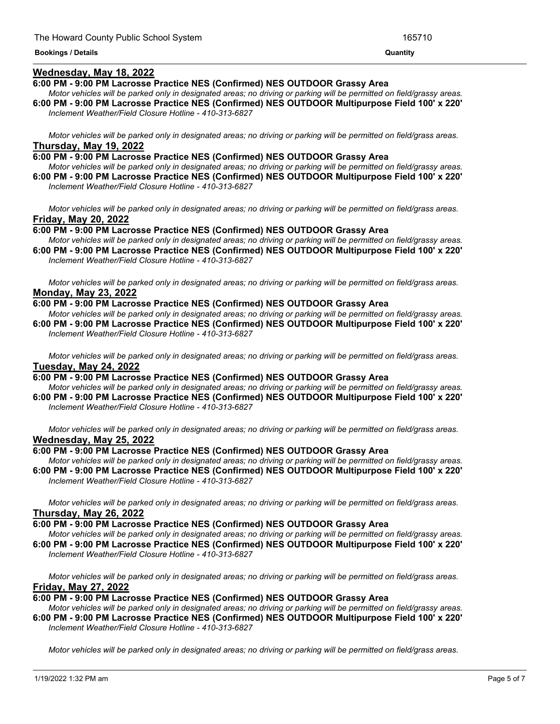## **Wednesday, May 18, 2022**

#### **6:00 PM - 9:00 PM Lacrosse Practice NES (Confirmed) NES OUTDOOR Grassy Area**

Motor vehicles will be parked only in designated areas; no driving or parking will be permitted on field/grassy areas. **6:00 PM - 9:00 PM Lacrosse Practice NES (Confirmed) NES OUTDOOR Multipurpose Field 100' x 220'** *Inclement Weather/Field Closure Hotline - 410-313-6827*

Motor vehicles will be parked only in designated areas; no driving or parking will be permitted on field/grass areas. **Thursday, May 19, 2022**

#### **6:00 PM - 9:00 PM Lacrosse Practice NES (Confirmed) NES OUTDOOR Grassy Area**

Motor vehicles will be parked only in designated areas; no driving or parking will be permitted on field/grassy areas. **6:00 PM - 9:00 PM Lacrosse Practice NES (Confirmed) NES OUTDOOR Multipurpose Field 100' x 220'** *Inclement Weather/Field Closure Hotline - 410-313-6827*

Motor vehicles will be parked only in designated areas; no driving or parking will be permitted on field/grass areas. **Friday, May 20, 2022**

**6:00 PM - 9:00 PM Lacrosse Practice NES (Confirmed) NES OUTDOOR Grassy Area**

Motor vehicles will be parked only in designated areas; no driving or parking will be permitted on field/grassy areas. **6:00 PM - 9:00 PM Lacrosse Practice NES (Confirmed) NES OUTDOOR Multipurpose Field 100' x 220'**

*Inclement Weather/Field Closure Hotline - 410-313-6827*

Motor vehicles will be parked only in designated areas; no driving or parking will be permitted on field/grass areas. **Monday, May 23, 2022**

**6:00 PM - 9:00 PM Lacrosse Practice NES (Confirmed) NES OUTDOOR Grassy Area**

Motor vehicles will be parked only in designated areas; no driving or parking will be permitted on field/grassy areas. **6:00 PM - 9:00 PM Lacrosse Practice NES (Confirmed) NES OUTDOOR Multipurpose Field 100' x 220'** *Inclement Weather/Field Closure Hotline - 410-313-6827*

Motor vehicles will be parked only in designated areas; no driving or parking will be permitted on field/grass areas. **Tuesday, May 24, 2022**

#### **6:00 PM - 9:00 PM Lacrosse Practice NES (Confirmed) NES OUTDOOR Grassy Area**

Motor vehicles will be parked only in designated areas; no driving or parking will be permitted on field/grassy areas. **6:00 PM - 9:00 PM Lacrosse Practice NES (Confirmed) NES OUTDOOR Multipurpose Field 100' x 220'** *Inclement Weather/Field Closure Hotline - 410-313-6827*

Motor vehicles will be parked only in designated areas; no driving or parking will be permitted on field/grass areas. **Wednesday, May 25, 2022**

#### **6:00 PM - 9:00 PM Lacrosse Practice NES (Confirmed) NES OUTDOOR Grassy Area**

Motor vehicles will be parked only in designated areas; no driving or parking will be permitted on field/grassy areas. **6:00 PM - 9:00 PM Lacrosse Practice NES (Confirmed) NES OUTDOOR Multipurpose Field 100' x 220'** *Inclement Weather/Field Closure Hotline - 410-313-6827*

Motor vehicles will be parked only in designated areas; no driving or parking will be permitted on field/grass areas. **Thursday, May 26, 2022**

#### **6:00 PM - 9:00 PM Lacrosse Practice NES (Confirmed) NES OUTDOOR Grassy Area**

Motor vehicles will be parked only in designated areas; no driving or parking will be permitted on field/grassy areas. **6:00 PM - 9:00 PM Lacrosse Practice NES (Confirmed) NES OUTDOOR Multipurpose Field 100' x 220'** *Inclement Weather/Field Closure Hotline - 410-313-6827*

Motor vehicles will be parked only in designated areas; no driving or parking will be permitted on field/grass areas. **Friday, May 27, 2022**

#### **6:00 PM - 9:00 PM Lacrosse Practice NES (Confirmed) NES OUTDOOR Grassy Area**

Motor vehicles will be parked only in designated areas; no driving or parking will be permitted on field/grassy areas. **6:00 PM - 9:00 PM Lacrosse Practice NES (Confirmed) NES OUTDOOR Multipurpose Field 100' x 220'** *Inclement Weather/Field Closure Hotline - 410-313-6827*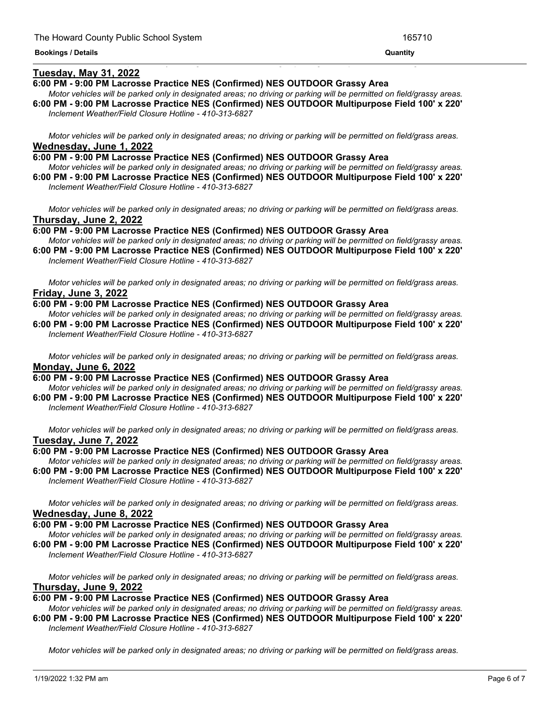## **Tuesday, May 31, 2022**

#### **6:00 PM - 9:00 PM Lacrosse Practice NES (Confirmed) NES OUTDOOR Grassy Area**

Motor vehicles will be parked only in designated areas; no driving or parking will be permitted on field/grassy areas. **6:00 PM - 9:00 PM Lacrosse Practice NES (Confirmed) NES OUTDOOR Multipurpose Field 100' x 220'**

<u> 1989 - Andrea Andrea Andrea Andrea Andrea Andrea Andrea Andrea Andrea Andrea Andrea Andrea Andrea Andrea And</u>

*Inclement Weather/Field Closure Hotline - 410-313-6827*

Motor vehicles will be parked only in designated areas; no driving or parking will be permitted on field/grass areas. **Wednesday, June 1, 2022**

**6:00 PM - 9:00 PM Lacrosse Practice NES (Confirmed) NES OUTDOOR Grassy Area** Motor vehicles will be parked only in designated areas; no driving or parking will be permitted on field/grassy areas.

**6:00 PM - 9:00 PM Lacrosse Practice NES (Confirmed) NES OUTDOOR Multipurpose Field 100' x 220'** *Inclement Weather/Field Closure Hotline - 410-313-6827*

Motor vehicles will be parked only in designated areas; no driving or parking will be permitted on field/grass areas. **Thursday, June 2, 2022**

**6:00 PM - 9:00 PM Lacrosse Practice NES (Confirmed) NES OUTDOOR Grassy Area**

Motor vehicles will be parked only in designated areas; no driving or parking will be permitted on field/grassy areas. **6:00 PM - 9:00 PM Lacrosse Practice NES (Confirmed) NES OUTDOOR Multipurpose Field 100' x 220'**

*Inclement Weather/Field Closure Hotline - 410-313-6827*

Motor vehicles will be parked only in designated areas; no driving or parking will be permitted on field/grass areas. **Friday, June 3, 2022**

## **6:00 PM - 9:00 PM Lacrosse Practice NES (Confirmed) NES OUTDOOR Grassy Area**

Motor vehicles will be parked only in designated areas; no driving or parking will be permitted on field/grassy areas. **6:00 PM - 9:00 PM Lacrosse Practice NES (Confirmed) NES OUTDOOR Multipurpose Field 100' x 220'** *Inclement Weather/Field Closure Hotline - 410-313-6827*

Motor vehicles will be parked only in designated areas; no driving or parking will be permitted on field/grass areas. **Monday, June 6, 2022**

## **6:00 PM - 9:00 PM Lacrosse Practice NES (Confirmed) NES OUTDOOR Grassy Area**

Motor vehicles will be parked only in designated areas; no driving or parking will be permitted on field/grassy areas. **6:00 PM - 9:00 PM Lacrosse Practice NES (Confirmed) NES OUTDOOR Multipurpose Field 100' x 220'** *Inclement Weather/Field Closure Hotline - 410-313-6827*

Motor vehicles will be parked only in designated areas; no driving or parking will be permitted on field/grass areas. **Tuesday, June 7, 2022**

#### **6:00 PM - 9:00 PM Lacrosse Practice NES (Confirmed) NES OUTDOOR Grassy Area**

Motor vehicles will be parked only in designated areas; no driving or parking will be permitted on field/grassy areas. **6:00 PM - 9:00 PM Lacrosse Practice NES (Confirmed) NES OUTDOOR Multipurpose Field 100' x 220'** *Inclement Weather/Field Closure Hotline - 410-313-6827*

Motor vehicles will be parked only in designated areas; no driving or parking will be permitted on field/grass areas. **Wednesday, June 8, 2022**

#### **6:00 PM - 9:00 PM Lacrosse Practice NES (Confirmed) NES OUTDOOR Grassy Area**

Motor vehicles will be parked only in designated areas; no driving or parking will be permitted on field/grassy areas. **6:00 PM - 9:00 PM Lacrosse Practice NES (Confirmed) NES OUTDOOR Multipurpose Field 100' x 220'** *Inclement Weather/Field Closure Hotline - 410-313-6827*

Motor vehicles will be parked only in designated areas; no driving or parking will be permitted on field/grass areas. **Thursday, June 9, 2022**

#### **6:00 PM - 9:00 PM Lacrosse Practice NES (Confirmed) NES OUTDOOR Grassy Area**

Motor vehicles will be parked only in designated areas; no driving or parking will be permitted on field/grassy areas. **6:00 PM - 9:00 PM Lacrosse Practice NES (Confirmed) NES OUTDOOR Multipurpose Field 100' x 220'** *Inclement Weather/Field Closure Hotline - 410-313-6827*